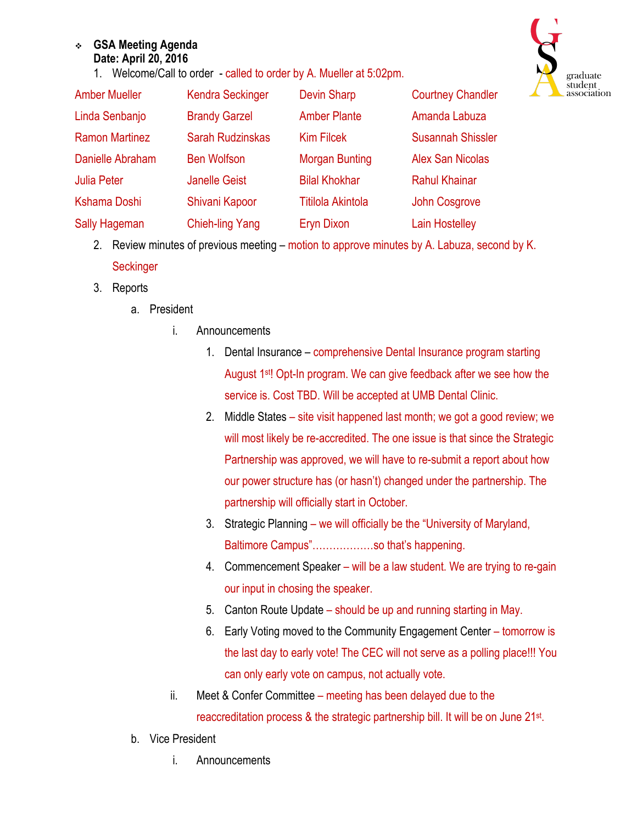## <sup>v</sup> **GSA Meeting Agenda Date: April 20, 2016**

1. Welcome/Call to order - called to order by A. Mueller at 5:02pm.



| <b>Amber Mueller</b>  | <b>Kendra Seckinger</b> | <b>Devin Sharp</b>       | <b>Courtney Chandler</b> |
|-----------------------|-------------------------|--------------------------|--------------------------|
| Linda Senbanjo        | <b>Brandy Garzel</b>    | <b>Amber Plante</b>      | Amanda Labuza            |
| <b>Ramon Martinez</b> | <b>Sarah Rudzinskas</b> | <b>Kim Filcek</b>        | <b>Susannah Shissler</b> |
| Danielle Abraham      | <b>Ben Wolfson</b>      | <b>Morgan Bunting</b>    | <b>Alex San Nicolas</b>  |
| <b>Julia Peter</b>    | <b>Janelle Geist</b>    | <b>Bilal Khokhar</b>     | <b>Rahul Khainar</b>     |
| Kshama Doshi          | Shivani Kapoor          | <b>Titilola Akintola</b> | <b>John Cosgrove</b>     |
| <b>Sally Hageman</b>  | <b>Chieh-ling Yang</b>  | <b>Eryn Dixon</b>        | <b>Lain Hostelley</b>    |

- 2. Review minutes of previous meeting motion to approve minutes by A. Labuza, second by K. **Seckinger**
- 3. Reports
	- a. President
		- i. Announcements
			- 1. Dental Insurance comprehensive Dental Insurance program starting August 1st! Opt-In program. We can give feedback after we see how the service is. Cost TBD. Will be accepted at UMB Dental Clinic.
			- 2. Middle States site visit happened last month; we got a good review; we will most likely be re-accredited. The one issue is that since the Strategic Partnership was approved, we will have to re-submit a report about how our power structure has (or hasn't) changed under the partnership. The partnership will officially start in October.
			- 3. Strategic Planning we will officially be the "University of Maryland, Baltimore Campus"………………so that's happening.
			- 4. Commencement Speaker will be a law student. We are trying to re-gain our input in chosing the speaker.
			- 5. Canton Route Update should be up and running starting in May.
			- 6. Early Voting moved to the Community Engagement Center tomorrow is the last day to early vote! The CEC will not serve as a polling place!!! You can only early vote on campus, not actually vote.
		- ii. Meet & Confer Committee meeting has been delayed due to the reaccreditation process & the strategic partnership bill. It will be on June 21st.
	- b. Vice President
		- i. Announcements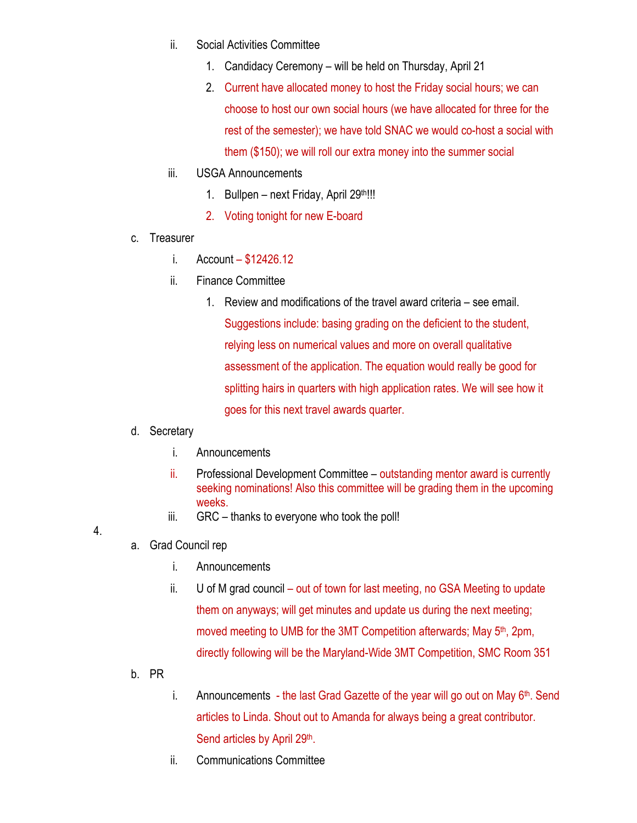- ii. Social Activities Committee
	- 1. Candidacy Ceremony will be held on Thursday, April 21
	- 2. Current have allocated money to host the Friday social hours; we can choose to host our own social hours (we have allocated for three for the rest of the semester); we have told SNAC we would co-host a social with them (\$150); we will roll our extra money into the summer social
- iii. USGA Announcements
	- 1. Bullpen next Friday, April  $29^{th}$ !!!
	- 2. Voting tonight for new E-board
- c. Treasurer
	- i. Account \$12426.12
	- ii. Finance Committee
		- 1. Review and modifications of the travel award criteria see email. Suggestions include: basing grading on the deficient to the student, relying less on numerical values and more on overall qualitative assessment of the application. The equation would really be good for splitting hairs in quarters with high application rates. We will see how it goes for this next travel awards quarter.

## d. Secretary

- i. Announcements
- ii. Professional Development Committee outstanding mentor award is currently seeking nominations! Also this committee will be grading them in the upcoming weeks.
- iii. GRC thanks to everyone who took the poll!
- a. Grad Council rep

4.

- i. Announcements
- ii. U of M grad council out of town for last meeting, no GSA Meeting to update them on anyways; will get minutes and update us during the next meeting; moved meeting to UMB for the 3MT Competition afterwards; May 5<sup>th</sup>, 2pm, directly following will be the Maryland-Wide 3MT Competition, SMC Room 351
- b. PR
- i. Announcements the last Grad Gazette of the year will go out on May  $6<sup>th</sup>$ . Send articles to Linda. Shout out to Amanda for always being a great contributor. Send articles by April 29th.
- ii. Communications Committee